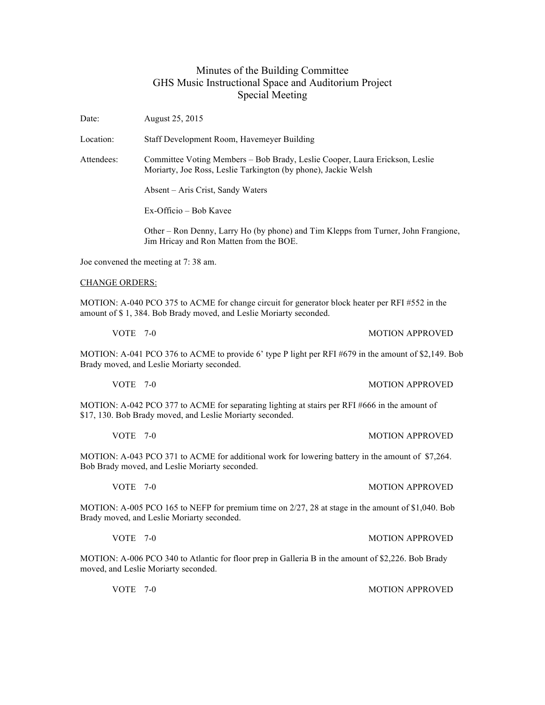## Minutes of the Building Committee GHS Music Instructional Space and Auditorium Project Special Meeting

Date: August 25, 2015

Location: Staff Development Room, Havemeyer Building

Attendees: Committee Voting Members – Bob Brady, Leslie Cooper, Laura Erickson, Leslie Moriarty, Joe Ross, Leslie Tarkington (by phone), Jackie Welsh

Absent – Aris Crist, Sandy Waters

Ex-Officio – Bob Kavee

Other – Ron Denny, Larry Ho (by phone) and Tim Klepps from Turner, John Frangione, Jim Hricay and Ron Matten from the BOE.

Joe convened the meeting at 7: 38 am.

## CHANGE ORDERS:

MOTION: A-040 PCO 375 to ACME for change circuit for generator block heater per RFI #552 in the amount of \$ 1, 384. Bob Brady moved, and Leslie Moriarty seconded.

MOTION: A-041 PCO 376 to ACME to provide 6' type P light per RFI #679 in the amount of \$2,149. Bob

VOTE 7-0 MOTION APPROVED

Brady moved, and Leslie Moriarty seconded.

MOTION: A-042 PCO 377 to ACME for separating lighting at stairs per RFI #666 in the amount of \$17, 130. Bob Brady moved, and Leslie Moriarty seconded.

MOTION: A-043 PCO 371 to ACME for additional work for lowering battery in the amount of \$7,264. Bob Brady moved, and Leslie Moriarty seconded.

VOTE 7-0 MOTION APPROVED MOTION: A-005 PCO 165 to NEFP for premium time on 2/27, 28 at stage in the amount of \$1,040. Bob

VOTE 7-0 MOTION APPROVED

MOTION: A-006 PCO 340 to Atlantic for floor prep in Galleria B in the amount of \$2,226. Bob Brady moved, and Leslie Moriarty seconded.

VOTE 7-0 MOTION APPROVED

VOTE 7-0 MOTION APPROVED

VOTE 7-0 MOTION APPROVED

Brady moved, and Leslie Moriarty seconded.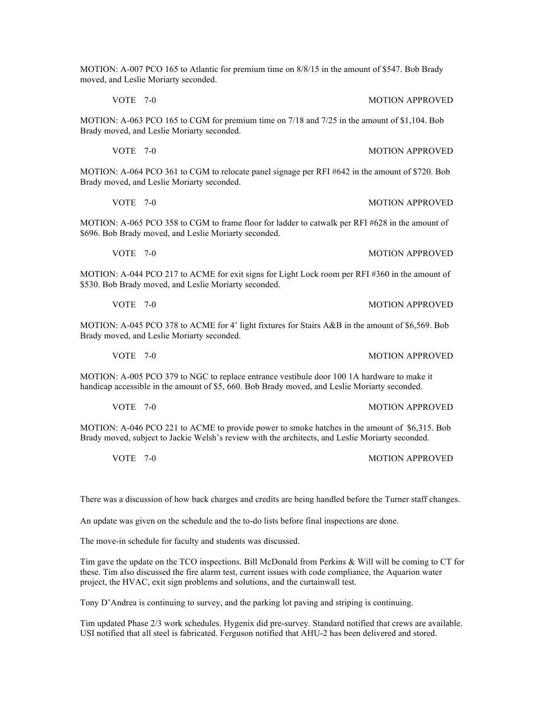MOTION: A-007 PCO 165 to Atlantic for premium time on 8/8/15 in the amount of \$547. Bob Brady moved, and Leslie Moriarty seconded.

MOTION: A-063 PCO 165 to CGM for premium time on 7/18 and 7/25 in the amount of \$1,104. Bob Brady moved, and Leslie Moriarty seconded.

VOTE 7-0 MOTION APPROVED

VOTE 7-0 MOTION APPROVED

VOTE 7-0 MOTION APPROVED

VOTE 7-0 MOTION APPROVED

VOTE 7-0 MOTION APPROVED

MOTION: A-064 PCO 361 to CGM to relocate panel signage per RFI #642 in the amount of \$720. Bob Brady moved, and Leslie Moriarty seconded.

MOTION: A-065 PCO 358 to CGM to frame floor for ladder to catwalk per RFI #628 in the amount of \$696. Bob Brady moved, and Leslie Moriarty seconded.

MOTION: A-044 PCO 217 to ACME for exit signs for Light Lock room per RFI #360 in the amount of \$530. Bob Brady moved, and Leslie Moriarty seconded.

MOTION: A-045 PCO 378 to ACME for 4' light fixtures for Stairs A&B in the amount of \$6,569. Bob Brady moved, and Leslie Moriarty seconded.

MOTION: A-005 PCO 379 to NGC to replace entrance vestibule door 100 1A hardware to make it handicap accessible in the amount of \$5, 660. Bob Brady moved, and Leslie Moriarty seconded.

MOTION: A-046 PCO 221 to ACME to provide power to smoke hatches in the amount of \$6,315. Bob Brady moved, subject to Jackie Welsh's review with the architects, and Leslie Moriarty seconded.

There was a discussion of how back charges and credits are being handled before the Turner staff changes.

An update was given on the schedule and the to-do lists before final inspections are done.

The move-in schedule for faculty and students was discussed.

Tim gave the update on the TCO inspections. Bill McDonald from Perkins & Will will be coming to CT for these. Tim also discussed the fire alarm test, current issues with code compliance, the Aquarion water project, the HVAC, exit sign problems and solutions, and the curtainwall test.

Tony D'Andrea is continuing to survey, and the parking lot paving and striping is continuing.

Tim updated Phase 2/3 work schedules. Hygenix did pre-survey. Standard notified that crews are available. USI notified that all steel is fabricated. Ferguson notified that AHU-2 has been delivered and stored.

VOTE 7-0 MOTION APPROVED

VOTE 7-0 MOTION APPROVED

VOTE 7-0 MOTION APPROVED